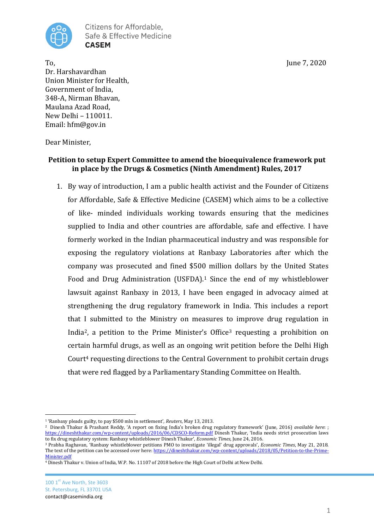

To, June 7, 2020 Dr. Harshavardhan Union Minister for Health, Government of India, 348-A, Nirman Bhavan, Maulana Azad Road, New Delhi – 110011. Email: hfm@gov.in

Dear Minister,

### **Petition to setup Expert Committee to amend the bioequivalence framework put in place by the Drugs & Cosmetics (Ninth Amendment) Rules, 2017**

1. By way of introduction, I am a public health activist and the Founder of Citizens for Affordable, Safe & Effective Medicine (CASEM) which aims to be a collective of like- minded individuals working towards ensuring that the medicines supplied to India and other countries are affordable, safe and effective. I have formerly worked in the Indian pharmaceutical industry and was responsible for exposing the regulatory violations at Ranbaxy Laboratories after which the company was prosecuted and fined \$500 million dollars by the United States Food and Drug Administration (USFDA).<sup>1</sup> Since the end of my whistleblower lawsuit against Ranbaxy in 2013, I have been engaged in advocacy aimed at strengthening the drug regulatory framework in India. This includes a report that I submitted to the Ministry on measures to improve drug regulation in India<sup>2</sup>, a petition to the Prime Minister's Office<sup>3</sup> requesting a prohibition on certain harmful drugs, as well as an ongoing writ petition before the Delhi High Court<sup>4</sup> requesting directions to the Central Government to prohibit certain drugs that were red flagged by a Parliamentary Standing Committee on Health.

 $\overline{a}$ <sup>1</sup> 'Ranbaxy pleads guilty, to pay \$500 mln in settlement', *Reuters*, May 13, 2013.

<sup>2</sup> Dinesh Thakur & Prashant Reddy, 'A report on fixing India's broken drug regulatory framework' (June, 2016) *available here*: ; <https://dineshthakur.com/wp-content/uploads/2016/06/CDSCO-Reform.pdf> Dinesh Thakur, 'India needs strict prosecution laws to fix drug regulatory system: Ranbaxy whistleblower Dinesh Thakur', *Economic Times,* June 24, 2016.

<sup>3</sup> Prabha Raghavan, 'Ranbaxy whistleblower petitions PMO to investigate 'illegal' drug approvals', *Economic Times*, May 21, 2018. The text of the petition can be accessed over here[: https://dineshthakur.com/wp-content/uploads/2018/05/Petition-to-the-Prime-](https://dineshthakur.com/wp-content/uploads/2018/05/Petition-to-the-Prime-Minister.pdf)[Minister.pdf](https://dineshthakur.com/wp-content/uploads/2018/05/Petition-to-the-Prime-Minister.pdf)

<sup>4</sup> Dinesh Thakur v. Union of India, W.P. No. 11107 of 2018 before the High Court of Delhi at New Delhi.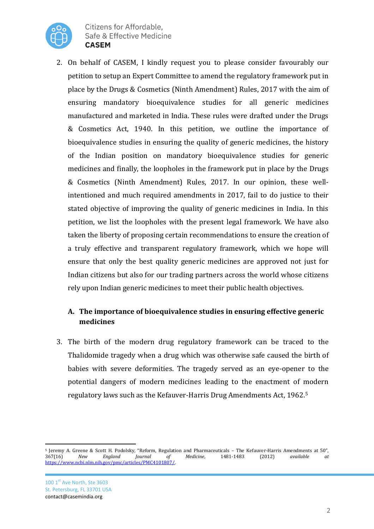

2. On behalf of CASEM, I kindly request you to please consider favourably our petition to setup an Expert Committee to amend the regulatory framework put in place by the Drugs & Cosmetics (Ninth Amendment) Rules, 2017 with the aim of ensuring mandatory bioequivalence studies for all generic medicines manufactured and marketed in India. These rules were drafted under the Drugs & Cosmetics Act, 1940. In this petition, we outline the importance of bioequivalence studies in ensuring the quality of generic medicines, the history of the Indian position on mandatory bioequivalence studies for generic medicines and finally, the loopholes in the framework put in place by the Drugs & Cosmetics (Ninth Amendment) Rules, 2017. In our opinion, these wellintentioned and much required amendments in 2017, fail to do justice to their stated objective of improving the quality of generic medicines in India. In this petition, we list the loopholes with the present legal framework. We have also taken the liberty of proposing certain recommendations to ensure the creation of a truly effective and transparent regulatory framework, which we hope will ensure that only the best quality generic medicines are approved not just for Indian citizens but also for our trading partners across the world whose citizens rely upon Indian generic medicines to meet their public health objectives.

### **A. The importance of bioequivalence studies in ensuring effective generic medicines**

3. The birth of the modern drug regulatory framework can be traced to the Thalidomide tragedy when a drug which was otherwise safe caused the birth of babies with severe deformities. The tragedy served as an eye-opener to the potential dangers of modern medicines leading to the enactment of modern regulatory laws such as the Kefauver-Harris Drug Amendments Act, 1962.<sup>5</sup>

<sup>5</sup> Jeremy A. Greene & Scott H. Podolsky, "Reform, Regulation and Pharmaceuticals – The Kefauver-Harris Amendments at 50", 367(16) *New England Journal of Medicine*, 1481-1483 (2012) *available at*  [https://www.ncbi.nlm.nih.gov/pmc/articles/PMC4101807/.](https://www.ncbi.nlm.nih.gov/pmc/articles/PMC4101807/)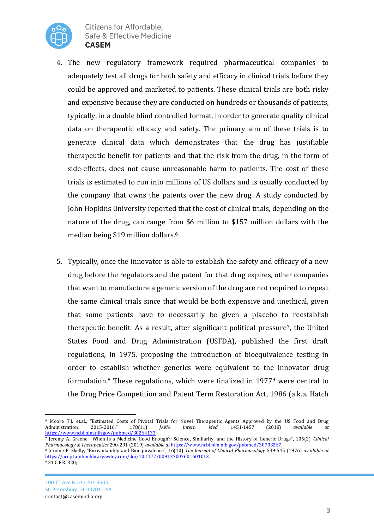

- 4. The new regulatory framework required pharmaceutical companies to adequately test all drugs for both safety and efficacy in clinical trials before they could be approved and marketed to patients. These clinical trials are both risky and expensive because they are conducted on hundreds or thousands of patients, typically, in a double blind controlled format, in order to generate quality clinical data on therapeutic efficacy and safety. The primary aim of these trials is to generate clinical data which demonstrates that the drug has justifiable therapeutic benefit for patients and that the risk from the drug, in the form of side-effects, does not cause unreasonable harm to patients. The cost of these trials is estimated to run into millions of US dollars and is usually conducted by the company that owns the patents over the new drug. A study conducted by John Hopkins University reported that the cost of clinical trials, depending on the nature of the drug, can range from \$6 million to \$157 million dollars with the median being \$19 million dollars.<sup>6</sup>
- 5. Typically, once the innovator is able to establish the safety and efficacy of a new drug before the regulators and the patent for that drug expires, other companies that want to manufacture a generic version of the drug are not required to repeat the same clinical trials since that would be both expensive and unethical, given that some patients have to necessarily be given a placebo to reestablish therapeutic benefit. As a result, after significant political pressure7, the United States Food and Drug Administration (USFDA), published the first draft regulations, in 1975, proposing the introduction of bioequivalence testing in order to establish whether generics were equivalent to the innovator drug formulation.<sup>8</sup> These regulations, which were finalized in 1977<sup>9</sup> were central to the Drug Price Competition and Patent Term Restoration Act, 1986 (a.k.a. Hatch

 $\overline{a}$ <sup>6</sup> Moore T.J. et.al., "Estimated Costs of Pivotal Trials for Novel Therapeutic Agents Approved by the US Food and Drug<br>Administration, 2015-2016," 178(11) *JAMA Intern. Med.* 1451-1457 (2018) *available at* Administration, 2015-2016," 178(11) *JAMA Intern. Med.* 1451-1457 (2018) *available at*  [https://www.ncbi.nlm.nih.gov/pubmed/30264133.](https://www.ncbi.nlm.nih.gov/pubmed/30264133)

<sup>7</sup> Jeremy A. Greene, "When is a Medicine Good Enough?: Science, Similarity, and the History of Generic Drugs", 105(2) *Clinical Pharmacology & Therapeutics* 290-291 (2019) *available at* [https://www.ncbi.nlm.nih.gov/pubmed/30703267.](https://www.ncbi.nlm.nih.gov/pubmed/30703267) 

<sup>8</sup> Jerome P. Skelly, "Bioavailability and Bioequivalence", 16(10) *The Journal of Clinical Pharmacology* 539-545 (1976) *available at*  [https://accp1.onlinelibrary.wiley.com/doi/10.1177/009127007601601013.](https://accp1.onlinelibrary.wiley.com/doi/10.1177/009127007601601013)

<sup>9</sup> 21 C.F.R. 320;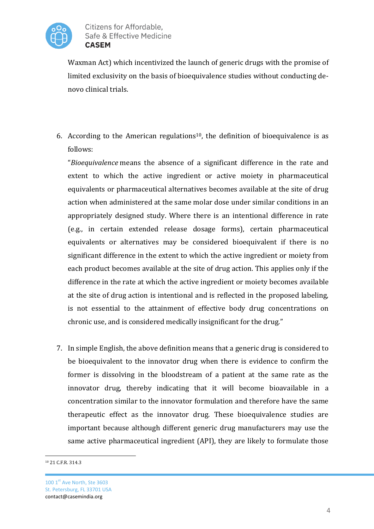

Waxman Act) which incentivized the launch of generic drugs with the promise of limited exclusivity on the basis of bioequivalence studies without conducting denovo clinical trials.

6. According to the American regulations<sup>10</sup>, the definition of bioequivalence is as follows:

"*Bioequivalence* means the absence of a significant difference in the rate and extent to which the active ingredient or active moiety in pharmaceutical equivalents or pharmaceutical alternatives becomes available at the site of drug action when administered at the same molar dose under similar conditions in an appropriately designed study. Where there is an intentional difference in rate (e.g., in certain extended release dosage forms), certain pharmaceutical equivalents or alternatives may be considered bioequivalent if there is no significant difference in the extent to which the active ingredient or moiety from each product becomes available at the site of drug action. This applies only if the difference in the rate at which the active ingredient or moiety becomes available at the site of drug action is intentional and is reflected in the proposed labeling, is not essential to the attainment of effective body drug concentrations on chronic use, and is considered medically insignificant for the drug."

7. In simple English, the above definition means that a generic drug is considered to be bioequivalent to the innovator drug when there is evidence to confirm the former is dissolving in the bloodstream of a patient at the same rate as the innovator drug, thereby indicating that it will become bioavailable in a concentration similar to the innovator formulation and therefore have the same therapeutic effect as the innovator drug. These bioequivalence studies are important because although different generic drug manufacturers may use the same active pharmaceutical ingredient (API), they are likely to formulate those

 $\overline{a}$ <sup>10</sup> 21 C.F.R. 314.3

<sup>100 1</sup>st Ave North, Ste 3603 St. Petersburg, FL 33701 USA contact@casemindia.org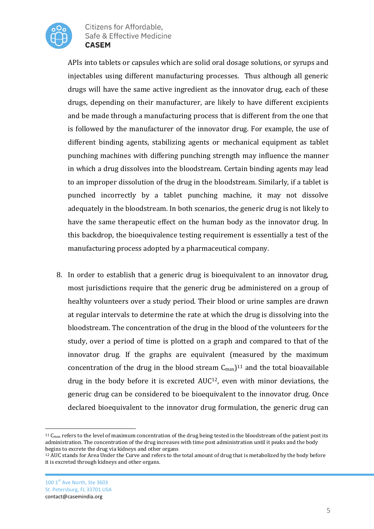

APIs into tablets or capsules which are solid oral dosage solutions, or syrups and injectables using different manufacturing processes. Thus although all generic drugs will have the same active ingredient as the innovator drug, each of these drugs, depending on their manufacturer, are likely to have different excipients and be made through a manufacturing process that is different from the one that is followed by the manufacturer of the innovator drug. For example, the use of different binding agents, stabilizing agents or mechanical equipment as tablet punching machines with differing punching strength may influence the manner in which a drug dissolves into the bloodstream. Certain binding agents may lead to an improper dissolution of the drug in the bloodstream. Similarly, if a tablet is punched incorrectly by a tablet punching machine, it may not dissolve adequately in the bloodstream. In both scenarios, the generic drug is not likely to have the same therapeutic effect on the human body as the innovator drug. In this backdrop, the bioequivalence testing requirement is essentially a test of the manufacturing process adopted by a pharmaceutical company.

8. In order to establish that a generic drug is bioequivalent to an innovator drug, most jurisdictions require that the generic drug be administered on a group of healthy volunteers over a study period. Their blood or urine samples are drawn at regular intervals to determine the rate at which the drug is dissolving into the bloodstream. The concentration of the drug in the blood of the volunteers for the study, over a period of time is plotted on a graph and compared to that of the innovator drug. If the graphs are equivalent (measured by the maximum concentration of the drug in the blood stream  $C_{\text{max}}$ )<sup>11</sup> and the total bioavailable drug in the body before it is excreted AUC12, even with minor deviations, the generic drug can be considered to be bioequivalent to the innovator drug. Once declared bioequivalent to the innovator drug formulation, the generic drug can

l

 $11$  C<sub>max</sub> refers to the level of maximum concentration of the drug being tested in the bloodstream of the patient post its administration. The concentration of the drug increases with time post administration until it peaks and the body begins to excrete the drug via kidneys and other organs

<sup>&</sup>lt;sup>12</sup> AUC stands for Area Under the Curve and refers to the total amount of drug that is metabolized by the body before it is excreted through kidneys and other organs.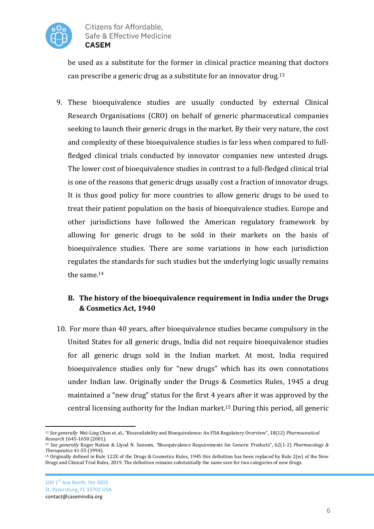

be used as a substitute for the former in clinical practice meaning that doctors can prescribe a generic drug as a substitute for an innovator drug.<sup>13</sup>

9. These bioequivalence studies are usually conducted by external Clinical Research Organisations (CRO) on behalf of generic pharmaceutical companies seeking to launch their generic drugs in the market. By their very nature, the cost and complexity of these bioequivalence studies is far less when compared to fullfledged clinical trials conducted by innovator companies new untested drugs. The lower cost of bioequivalence studies in contrast to a full-fledged clinical trial is one of the reasons that generic drugs usually cost a fraction of innovator drugs. It is thus good policy for more countries to allow generic drugs to be used to treat their patient population on the basis of bioequivalence studies. Europe and other jurisdictions have followed the American regulatory framework by allowing for generic drugs to be sold in their markets on the basis of bioequivalence studies. There are some variations in how each jurisdiction regulates the standards for such studies but the underlying logic usually remains the same.<sup>14</sup>

## **B. The history of the bioequivalence requirement in India under the Drugs & Cosmetics Act, 1940**

10. For more than 40 years, after bioequivalence studies became compulsory in the United States for all generic drugs, India did not require bioequivalence studies for all generic drugs sold in the Indian market. At most, India required bioequivalence studies only for "new drugs" which has its own connotations under Indian law. Originally under the Drugs & Cosmetics Rules, 1945 a drug maintained a "new drug" status for the first 4 years after it was approved by the central licensing authority for the Indian market.<sup>15</sup> During this period, all generic

 $\overline{a}$ <sup>13</sup> *See generally* Mei-Ling Chen et. al., "Bioavailability and Bioequivalence: An FDA Regulatory Overview", 18(12) *Pharmaceutical Research* 1645-1650 (2001).

<sup>14</sup> *See generally* Roger Nation & Llyod N. Sansom, *"*Bioequivalence Requirements for Generic Products", 62(1-2) *Pharmacology & Therapeutics* 41-55 (1994).

<sup>15</sup> Originally defined in Rule 122E of the Drugs & Cosmetics Rules, 1945 this definition has been replaced by Rule 2(w) of the New Drugs and Clinical Trial Rules, 2019. The definition remains substantially the same save for two categories of new drugs.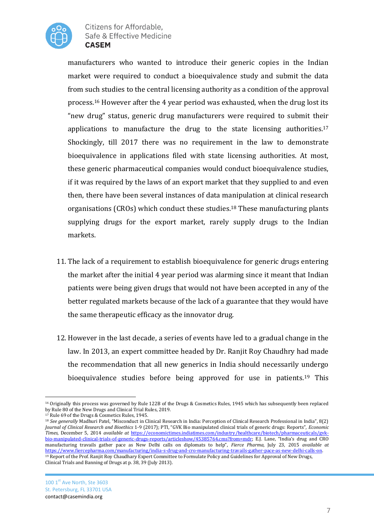

manufacturers who wanted to introduce their generic copies in the Indian market were required to conduct a bioequivalence study and submit the data from such studies to the central licensing authority as a condition of the approval process.<sup>16</sup> However after the 4 year period was exhausted, when the drug lost its "new drug" status, generic drug manufacturers were required to submit their applications to manufacture the drug to the state licensing authorities.<sup>17</sup> Shockingly, till 2017 there was no requirement in the law to demonstrate bioequivalence in applications filed with state licensing authorities. At most, these generic pharmaceutical companies would conduct bioequivalence studies, if it was required by the laws of an export market that they supplied to and even then, there have been several instances of data manipulation at clinical research organisations (CROs) which conduct these studies.<sup>18</sup> These manufacturing plants supplying drugs for the export market, rarely supply drugs to the Indian markets.

- 11. The lack of a requirement to establish bioequivalence for generic drugs entering the market after the initial 4 year period was alarming since it meant that Indian patients were being given drugs that would not have been accepted in any of the better regulated markets because of the lack of a guarantee that they would have the same therapeutic efficacy as the innovator drug.
- 12. However in the last decade, a series of events have led to a gradual change in the law. In 2013, an expert committee headed by Dr. Ranjit Roy Chaudhry had made the recommendation that all new generics in India should necessarily undergo bioequivalence studies before being approved for use in patients.<sup>19</sup> This

 $\overline{a}$ <sup>16</sup> Originally this process was governed by Rule 122B of the Drugs & Cosmetics Rules, 1945 which has subsequently been replaced by Rule 80 of the New Drugs and Clinical Trial Rules, 2019.

<sup>17</sup> Rule 69 of the Drugs & Cosmetics Rules, 1945.

<sup>18</sup> *See generally* Madhuri Patel, "Misconduct in Clinical Research in India: Perception of Clinical Research Professional in India", 8(2) *Journal of Clinical Research and Bioethics* 1-9 (2017); PTI, "GVK Bio manipulated clinical trials of generic drugs: Reports", *Economic Times*, December 5, 2014 *available at* [https://economictimes.indiatimes.com/industry/healthcare/biotech/pharmaceuticals/gvk](https://economictimes.indiatimes.com/industry/healthcare/biotech/pharmaceuticals/gvk-bio-manipulated-clinical-trials-of-generic-drugs-reports/articleshow/45385764.cms?from=mdr)[bio-manipulated-clinical-trials-of-generic-drugs-reports/articleshow/45385764.cms?from=mdr](https://economictimes.indiatimes.com/industry/healthcare/biotech/pharmaceuticals/gvk-bio-manipulated-clinical-trials-of-generic-drugs-reports/articleshow/45385764.cms?from=mdr); E.J. Lane, "India's drug and CRO manufacturing travails gather pace as New Delhi calls on diplomats to help", *Fierce Pharma,* July 23, 2015 *available at*  [https://www.fiercepharma.com/manufacturing/india-s-drug-and-cro-manufacturing-travails-gather-pace-as-new-delhi-calls-on.](https://www.fiercepharma.com/manufacturing/india-s-drug-and-cro-manufacturing-travails-gather-pace-as-new-delhi-calls-on) <sup>19</sup> Report of the Prof. Ranjit Roy Chaudhary Expert Committee to Formulate Policy and Guidelines for Approval of New Drugs, Clinical Trials and Banning of Drugs at p. 38, 39 (July 2013).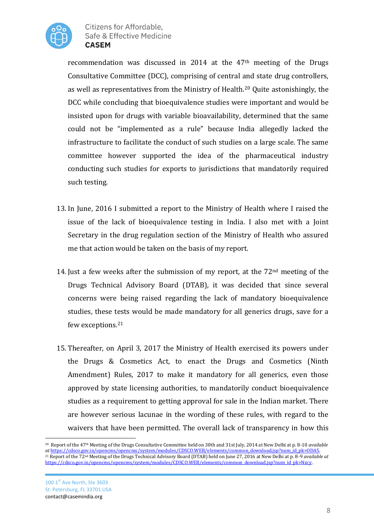

recommendation was discussed in 2014 at the 47<sup>th</sup> meeting of the Drugs Consultative Committee (DCC), comprising of central and state drug controllers, as well as representatives from the Ministry of Health.<sup>20</sup> Quite astonishingly, the DCC while concluding that bioequivalence studies were important and would be insisted upon for drugs with variable bioavailability, determined that the same could not be "implemented as a rule" because India allegedly lacked the infrastructure to facilitate the conduct of such studies on a large scale. The same committee however supported the idea of the pharmaceutical industry conducting such studies for exports to jurisdictions that mandatorily required such testing.

- 13. In June, 2016 I submitted a report to the Ministry of Health where I raised the issue of the lack of bioequivalence testing in India. I also met with a Joint Secretary in the drug regulation section of the Ministry of Health who assured me that action would be taken on the basis of my report.
- 14. Just a few weeks after the submission of my report, at the 72nd meeting of the Drugs Technical Advisory Board (DTAB), it was decided that since several concerns were being raised regarding the lack of mandatory bioequivalence studies, these tests would be made mandatory for all generics drugs, save for a few exceptions.<sup>21</sup>
- 15. Thereafter, on April 3, 2017 the Ministry of Health exercised its powers under the Drugs & Cosmetics Act, to enact the Drugs and Cosmetics (Ninth Amendment) Rules, 2017 to make it mandatory for all generics, even those approved by state licensing authorities, to mandatorily conduct bioequivalence studies as a requirement to getting approval for sale in the Indian market. There are however serious lacunae in the wording of these rules, with regard to the waivers that have been permitted. The overall lack of transparency in how this

<sup>20</sup> Report of the 47th Meeting of the Drugs Consultative Committee held on 30th and 31st July, 2014 at New Delhi at p. 8-10 *available at* [https://cdsco.gov.in/opencms/opencms/system/modules/CDSCO.WEB/elements/common\\_download.jsp?num\\_id\\_pk=ODA5.](https://cdsco.gov.in/opencms/opencms/system/modules/CDSCO.WEB/elements/common_download.jsp?num_id_pk=ODA5) <sup>21</sup> Report of the 72nd Meeting of the Drugs Technical Advisory Board (DTAB) held on June 27, 2016 at New Delhi at p. 8-9 *available at*  [https://cdsco.gov.in/opencms/opencms/system/modules/CDSCO.WEB/elements/common\\_download.jsp?num\\_id\\_pk=Nzcy.](https://cdsco.gov.in/opencms/opencms/system/modules/CDSCO.WEB/elements/common_download.jsp?num_id_pk=Nzcy)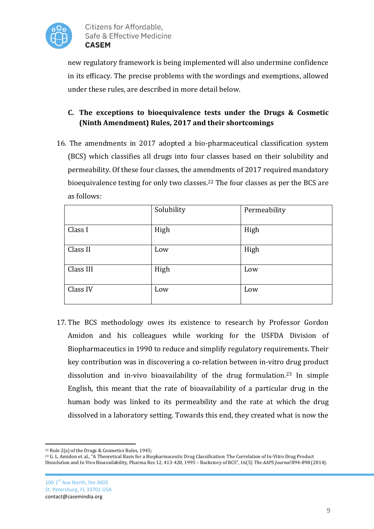

new regulatory framework is being implemented will also undermine confidence in its efficacy. The precise problems with the wordings and exemptions, allowed under these rules, are described in more detail below.

# **C. The exceptions to bioequivalence tests under the Drugs & Cosmetic (Ninth Amendment) Rules, 2017 and their shortcomings**

16. The amendments in 2017 adopted a bio-pharmaceutical classification system (BCS) which classifies all drugs into four classes based on their solubility and permeability. Of these four classes, the amendments of 2017 required mandatory bioequivalence testing for only two classes.<sup>22</sup> The four classes as per the BCS are as follows:

|           | Solubility | Permeability |
|-----------|------------|--------------|
| Class I   | High       | High         |
| Class II  | Low        | High         |
| Class III | High       | Low          |
| Class IV  | Low        | Low          |

17. The BCS methodology owes its existence to research by Professor Gordon Amidon and his colleagues while working for the USFDA Division of Biopharmaceutics in 1990 to reduce and simplify regulatory requirements. Their key contribution was in discovering a co-relation between in-vitro drug product dissolution and in-vivo bioavailability of the drug formulation.<sup>23</sup> In simple English, this meant that the rate of bioavailability of a particular drug in the human body was linked to its permeability and the rate at which the drug dissolved in a laboratory setting. Towards this end, they created what is now the

<sup>22</sup> Rule 2(a) of the Drugs & Cosmetics Rules, 1945;

<sup>&</sup>lt;sup>23</sup> G. L. Amidon et. al., "A Theoretical Basis for a Biopharmaceutic Drug Classification: The Correlation of In-Vitro Drug Product Dissolution and In Vivo Bioavailability, Pharma Res 12, 413-420, 1995 – Backstory of BCS", 16(5) *The AAPS Journal* 894-898 (2014).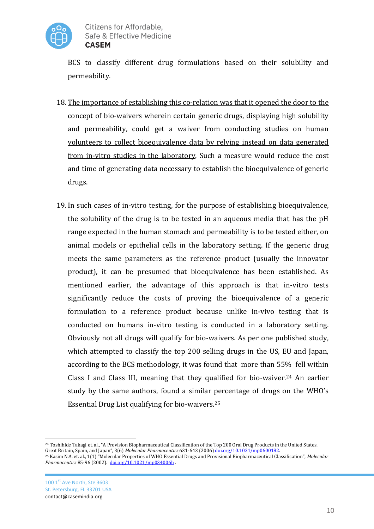

BCS to classify different drug formulations based on their solubility and permeability.

- 18. The importance of establishing this co-relation was that it opened the door to the concept of bio-waivers wherein certain generic drugs, displaying high solubility and permeability, could get a waiver from conducting studies on human volunteers to collect bioequivalence data by relying instead on data generated from in-vitro studies in the laboratory. Such a measure would reduce the cost and time of generating data necessary to establish the bioequivalence of generic drugs.
- 19. In such cases of in-vitro testing, for the purpose of establishing bioequivalence, the solubility of the drug is to be tested in an aqueous media that has the pH range expected in the human stomach and permeability is to be tested either, on animal models or epithelial cells in the laboratory setting. If the generic drug meets the same parameters as the reference product (usually the innovator product), it can be presumed that bioequivalence has been established. As mentioned earlier, the advantage of this approach is that in-vitro tests significantly reduce the costs of proving the bioequivalence of a generic formulation to a reference product because unlike in-vivo testing that is conducted on humans in-vitro testing is conducted in a laboratory setting. Obviously not all drugs will qualify for bio-waivers. As per one published study, which attempted to classify the top 200 selling drugs in the US, EU and Japan, according to the BCS methodology, it was found that more than 55% fell within Class I and Class III, meaning that they qualified for bio-waiver.<sup>24</sup> An earlier study by the same authors, found a similar percentage of drugs on the WHO's Essential Drug List qualifying for bio-waivers.<sup>25</sup>

 $\overline{a}$ <sup>24</sup> Toshihide Takagi et. al., "A Provision Biopharmaceutical Classification of the Top 200 Oral Drug Products in the United States, Great Britain, Spain, and Japan", 3(6) *Molecular Pharmaceutics* 631-643 (2006[\) doi.org/10.1021/mp0600182.](https://doi.org/10.1021/mp0600182) 

<sup>25</sup> Kasim N.A. et. al., 1(1) "Molecular Properties of WHO Essential Drugs and Provisional Biopharmaceutical Classification", *Molecular Pharmaceutics* 85-96 (2002). [doi.org/10.1021/mp034006h](https://doi.org/10.1021/mp034006h) .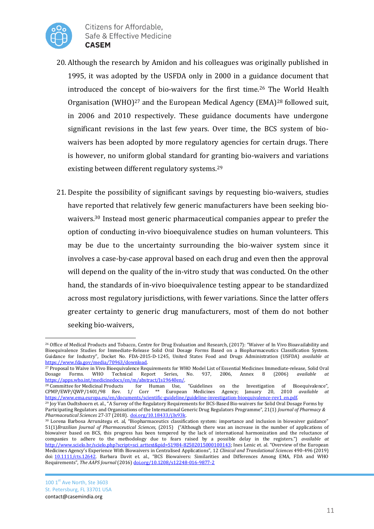

- 20. Although the research by Amidon and his colleagues was originally published in 1995, it was adopted by the USFDA only in 2000 in a guidance document that introduced the concept of bio-waivers for the first time.<sup>26</sup> The World Health Organisation (WHO)<sup>27</sup> and the European Medical Agency (EMA)<sup>28</sup> followed suit, in 2006 and 2010 respectively. These guidance documents have undergone significant revisions in the last few years. Over time, the BCS system of biowaivers has been adopted by more regulatory agencies for certain drugs. There is however, no uniform global standard for granting bio-waivers and variations existing between different regulatory systems.<sup>29</sup>
- 21. Despite the possibility of significant savings by requesting bio-waivers, studies have reported that relatively few generic manufacturers have been seeking biowaivers.<sup>30</sup> Instead most generic pharmaceutical companies appear to prefer the option of conducting in-vivo bioequivalence studies on human volunteers. This may be due to the uncertainty surrounding the bio-waiver system since it involves a case-by-case approval based on each drug and even then the approval will depend on the quality of the in-vitro study that was conducted. On the other hand, the standards of in-vivo bioequivalence testing appear to be standardized across most regulatory jurisdictions, with fewer variations. Since the latter offers greater certainty to generic drug manufacturers, most of them do not bother seeking bio-waivers,

l <sup>26</sup> Office of Medical Products and Tobacco, Centre for Drug Evaluation and Research, (2017): "Waiver of In Vivo Bioavailability and Bioequivalence Studies for Immediate-Release Solid Oral Dosage Forms Based on a Biopharmaceutics Classification System. Guidance for Industry", Docket No. FDA-2015-D-1245, United States Food and Drugs Administration (USFDA) *available at*  [https://www.fda.gov/media/70963/download.](https://www.fda.gov/media/70963/download) 

<sup>&</sup>lt;sup>27</sup> Proposal to Waive in Vivo Bioequivalence Requirements for WHO Model List of Essential Medicines Immediate-release, Solid Oral Dosage Forms. WHO Technical Report Series, No. 937, 2006, Annex 8 (2006) *available at* Dosage Forms. WHO Technical Report Series, No. 937, 2006, Annex 8 (2006) *available at*  [https://apps.who.int/medicinedocs/en/m/abstract/Js19640en/.](https://apps.who.int/medicinedocs/en/m/abstract/Js19640en/) 

<sup>&</sup>lt;sup>28</sup> Committee for Medicinal Products for Human Use, "Guidelines on the Investigation of Bioequivalence", CPMP/EWP/0WP/1401/98 Rev. 1/ Corr  $**$  European Medicines Agency; January 20, 2010 *available at* CPMP/EWP/QWP/1401/98 Rev. 1/ Corr \*\* European Medicines Agency; January 20, https://www.ema.europa.eu/en/documents/scientific-guideline/guideline-investigation-bioequivalence-rev1\_en.pdf.

<sup>&</sup>lt;sup>29</sup> Joy Van Oudtshoorn et. al., "A Survey of the Regulatory Requirements for BCS-Based Bio-waivers for Solid Oral Dosage Forms by Participating Regulators and Organisations of the International Generic Drug Regulators Programme", 21(1) *Journal of Pharmacy & Pharmaceutical Sciences* 27-37 (2018). [doi.org/10.18433/j3x93k.](https://doi.org/10.18433/j3x93k) 

<sup>30</sup> Lorena Barbosa Arrunátegu et. al, "Biopharmaceutics classification system: importance and inclusion in biowaiver guidance" 51(1)*Brazilian Journal of Pharmaceutical Sciences,* (2015) ("Although there was an increase in the number of applications of biowaiver based on BCS, this progress has been tempered by the lack of international harmonization and the reluctance of companies to adhere to the methodology due to fears raised by a possible delay in the registers.") *available at*  [http://www.scielo.br/scielo.php?script=sci\\_arttext&pid=S1984-82502015000100143;](http://www.scielo.br/scielo.php?script=sci_arttext&pid=S1984-82502015000100143) Ines Lenic et. al. "Overview of the European Medicines Agency's Experience With Biowaivers in Centralised Applications", 12 *Clinical and Translational Sciences* 490-496 (2019) doi: [10.1111/cts.12642.](https://dx.doi.org/10.1111%2Fcts.12642) Barbara Davit et. al., "BCS Biowaivers: Similarities and Differences Among EMA, FDA and WHO Requirements", *The AAPS Journal* (2016[\) doi.org/10.1208/s12248-016-9877-2](https://doi.org/10.1208/s12248-016-9877-2)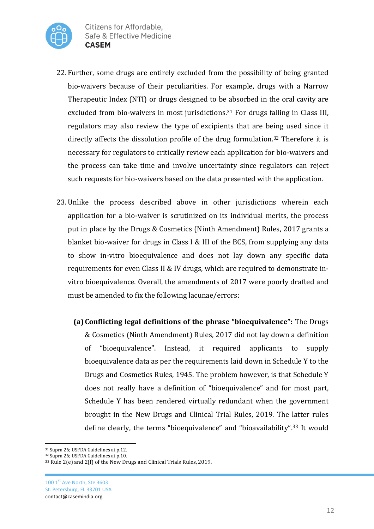

- 22. Further, some drugs are entirely excluded from the possibility of being granted bio-waivers because of their peculiarities. For example, drugs with a Narrow Therapeutic Index (NTI) or drugs designed to be absorbed in the oral cavity are excluded from bio-waivers in most jurisdictions.<sup>31</sup> For drugs falling in Class III, regulators may also review the type of excipients that are being used since it directly affects the dissolution profile of the drug formulation.<sup>32</sup> Therefore it is necessary for regulators to critically review each application for bio-waivers and the process can take time and involve uncertainty since regulators can reject such requests for bio-waivers based on the data presented with the application.
- 23. Unlike the process described above in other jurisdictions wherein each application for a bio-waiver is scrutinized on its individual merits, the process put in place by the Drugs & Cosmetics (Ninth Amendment) Rules, 2017 grants a blanket bio-waiver for drugs in Class I & III of the BCS, from supplying any data to show in-vitro bioequivalence and does not lay down any specific data requirements for even Class II & IV drugs, which are required to demonstrate invitro bioequivalence. Overall, the amendments of 2017 were poorly drafted and must be amended to fix the following lacunae/errors:
	- **(a)Conflicting legal definitions of the phrase "bioequivalence":** The Drugs & Cosmetics (Ninth Amendment) Rules, 2017 did not lay down a definition of "bioequivalence". Instead, it required applicants to supply bioequivalence data as per the requirements laid down in Schedule Y to the Drugs and Cosmetics Rules, 1945. The problem however, is that Schedule Y does not really have a definition of "bioequivalence" and for most part, Schedule Y has been rendered virtually redundant when the government brought in the New Drugs and Clinical Trial Rules, 2019. The latter rules define clearly, the terms "bioequivalence" and "bioavailability".<sup>33</sup> It would

<sup>31</sup> Supra 26; USFDA Guidelines at p.12.

<sup>&</sup>lt;sup>32</sup> Supra 26; USFDA Guidelines at p.10.

<sup>33</sup> Rule 2(e) and 2(f) of the New Drugs and Clinical Trials Rules, 2019.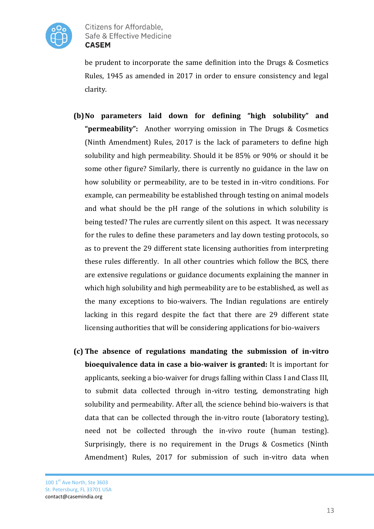

be prudent to incorporate the same definition into the Drugs & Cosmetics Rules, 1945 as amended in 2017 in order to ensure consistency and legal clarity.

- **(b)No parameters laid down for defining "high solubility" and "permeability":** Another worrying omission in The Drugs & Cosmetics (Ninth Amendment) Rules, 2017 is the lack of parameters to define high solubility and high permeability. Should it be 85% or 90% or should it be some other figure? Similarly, there is currently no guidance in the law on how solubility or permeability, are to be tested in in-vitro conditions. For example, can permeability be established through testing on animal models and what should be the pH range of the solutions in which solubility is being tested? The rules are currently silent on this aspect. It was necessary for the rules to define these parameters and lay down testing protocols, so as to prevent the 29 different state licensing authorities from interpreting these rules differently. In all other countries which follow the BCS, there are extensive regulations or guidance documents explaining the manner in which high solubility and high permeability are to be established, as well as the many exceptions to bio-waivers. The Indian regulations are entirely lacking in this regard despite the fact that there are 29 different state licensing authorities that will be considering applications for bio-waivers
- **(c) The absence of regulations mandating the submission of in-vitro bioequivalence data in case a bio-waiver is granted:** It is important for applicants, seeking a bio-waiver for drugs falling within Class I and Class III, to submit data collected through in-vitro testing, demonstrating high solubility and permeability. After all, the science behind bio-waivers is that data that can be collected through the in-vitro route (laboratory testing), need not be collected through the in-vivo route (human testing). Surprisingly, there is no requirement in the Drugs & Cosmetics (Ninth Amendment) Rules, 2017 for submission of such in-vitro data when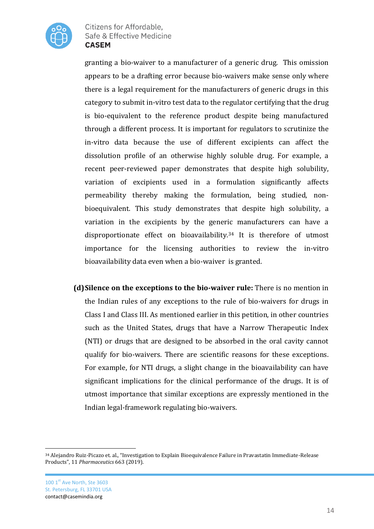

granting a bio-waiver to a manufacturer of a generic drug. This omission appears to be a drafting error because bio-waivers make sense only where there is a legal requirement for the manufacturers of generic drugs in this category to submit in-vitro test data to the regulator certifying that the drug is bio-equivalent to the reference product despite being manufactured through a different process. It is important for regulators to scrutinize the in-vitro data because the use of different excipients can affect the dissolution profile of an otherwise highly soluble drug. For example, a recent peer-reviewed paper demonstrates that despite high solubility, variation of excipients used in a formulation significantly affects permeability thereby making the formulation, being studied, nonbioequivalent. This study demonstrates that despite high solubility, a variation in the excipients by the generic manufacturers can have a disproportionate effect on bioavailability.<sup>34</sup> It is therefore of utmost importance for the licensing authorities to review the in-vitro bioavailability data even when a bio-waiver is granted.

**(d)Silence on the exceptions to the bio-waiver rule:** There is no mention in the Indian rules of any exceptions to the rule of bio-waivers for drugs in Class I and Class III. As mentioned earlier in this petition, in other countries such as the United States, drugs that have a Narrow Therapeutic Index (NTI) or drugs that are designed to be absorbed in the oral cavity cannot qualify for bio-waivers. There are scientific reasons for these exceptions. For example, for NTI drugs, a slight change in the bioavailability can have significant implications for the clinical performance of the drugs. It is of utmost importance that similar exceptions are expressly mentioned in the Indian legal-framework regulating bio-waivers.

l <sup>34</sup> Alejandro Ruiz-Picazo et. al., "Investigation to Explain Bioequivalence Failure in Pravastatin Immediate-Release Products", 11 *Pharmaceutics* 663 (2019).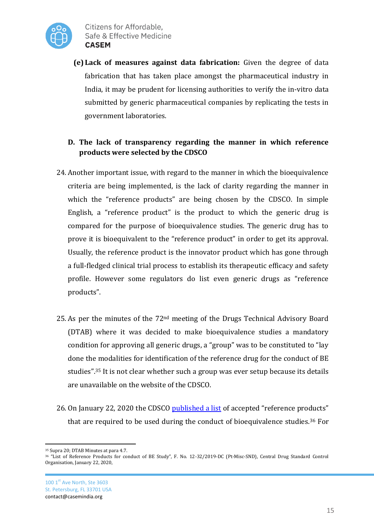

**(e) Lack of measures against data fabrication:** Given the degree of data fabrication that has taken place amongst the pharmaceutical industry in India, it may be prudent for licensing authorities to verify the in-vitro data submitted by generic pharmaceutical companies by replicating the tests in government laboratories.

### **D. The lack of transparency regarding the manner in which reference products were selected by the CDSCO**

- 24. Another important issue, with regard to the manner in which the bioequivalence criteria are being implemented, is the lack of clarity regarding the manner in which the "reference products" are being chosen by the CDSCO. In simple English, a "reference product" is the product to which the generic drug is compared for the purpose of bioequivalence studies. The generic drug has to prove it is bioequivalent to the "reference product" in order to get its approval. Usually, the reference product is the innovator product which has gone through a full-fledged clinical trial process to establish its therapeutic efficacy and safety profile. However some regulators do list even generic drugs as "reference products".
- 25. As per the minutes of the 72nd meeting of the Drugs Technical Advisory Board (DTAB) where it was decided to make bioequivalence studies a mandatory condition for approving all generic drugs, a "group" was to be constituted to "lay done the modalities for identification of the reference drug for the conduct of BE studies".<sup>35</sup> It is not clear whether such a group was ever setup because its details are unavailable on the website of the CDSCO.
- 26. On January 22, 2020 the CDSCO [published a list](https://cdsco.gov.in/opencms/opencms/system/modules/CDSCO.WEB/elements/download_file_division.jsp?num_id=NTQ5Mg==) of accepted "reference products" that are required to be used during the conduct of bioequivalence studies.<sup>36</sup> For

 $\overline{a}$ <sup>35</sup> Supra 20; DTAB Minutes at para 4.7.

<sup>36</sup> "List of Reference Products for conduct of BE Study", F. No. 12-32/2019-DC (Pt-Misc-SND), Central Drug Standard Control Organisation, January 22, 2020,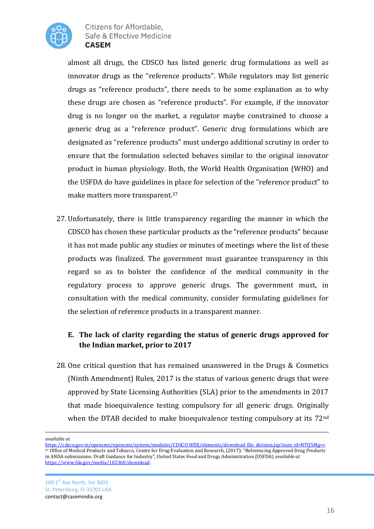

almost all drugs, the CDSCO has listed generic drug formulations as well as innovator drugs as the "reference products". While regulators may list generic drugs as "reference products", there needs to be some explanation as to why these drugs are chosen as "reference products". For example, if the innovator drug is no longer on the market, a regulator maybe constrained to choose a generic drug as a "reference product". Generic drug formulations which are designated as "reference products" must undergo additional scrutiny in order to ensure that the formulation selected behaves similar to the original innovator product in human physiology. Both, the World Health Organisation (WHO) and the USFDA do have guidelines in place for selection of the "reference product" to make matters more transparent.<sup>37</sup>

27. Unfortunately, there is little transparency regarding the manner in which the CDSCO has chosen these particular products as the "reference products" because it has not made public any studies or minutes of meetings where the list of these products was finalized. The government must guarantee transparency in this regard so as to bolster the confidence of the medical community in the regulatory process to approve generic drugs. The government must, in consultation with the medical community, consider formulating guidelines for the selection of reference products in a transparent manner.

## **E. The lack of clarity regarding the status of generic drugs approved for the Indian market, prior to 2017**

28. One critical question that has remained unanswered in the Drugs & Cosmetics (Ninth Amendment) Rules, 2017 is the status of various generic drugs that were approved by State Licensing Authorities (SLA) prior to the amendments in 2017 that made bioequivalence testing compulsory for all generic drugs. Originally when the DTAB decided to make bioequivalence testing compulsory at its 72<sup>nd</sup>

 $\overline{a}$ *available at* 

[https://cdsco.gov.in/opencms/opencms/system/modules/CDSCO.WEB/elements/download\\_file\\_division.jsp?num\\_id=NTQ5Mg==](https://cdsco.gov.in/opencms/opencms/system/modules/CDSCO.WEB/elements/download_file_division.jsp?num_id=NTQ5Mg==) <sup>37</sup> Office of Medical Products and Tobacco, Centre for Drug Evaluation and Research, (2017): "Referencing Approved Drug Products in ANDA submissions: Draft Guidance for Industry", United States Food and Drugs Administration (USFDA) *available at*  [https://www.fda.gov/media/102360/download.](https://www.fda.gov/media/102360/download)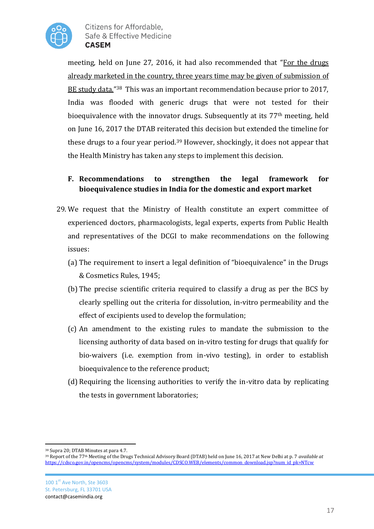

meeting, held on June 27, 2016, it had also recommended that "For the drugs already marketed in the country, three years time may be given of submission of BE study data."<sup>38</sup> This was an important recommendation because prior to 2017, India was flooded with generic drugs that were not tested for their bioequivalence with the innovator drugs. Subsequently at its 77th meeting, held on June 16, 2017 the DTAB reiterated this decision but extended the timeline for these drugs to a four year period.<sup>39</sup> However, shockingly, it does not appear that the Health Ministry has taken any steps to implement this decision.

### **F. Recommendations to strengthen the legal framework for bioequivalence studies in India for the domestic and export market**

- 29. We request that the Ministry of Health constitute an expert committee of experienced doctors, pharmacologists, legal experts, experts from Public Health and representatives of the DCGI to make recommendations on the following issues:
	- (a) The requirement to insert a legal definition of "bioequivalence" in the Drugs & Cosmetics Rules, 1945;
	- (b) The precise scientific criteria required to classify a drug as per the BCS by clearly spelling out the criteria for dissolution, in-vitro permeability and the effect of excipients used to develop the formulation;
	- (c) An amendment to the existing rules to mandate the submission to the licensing authority of data based on in-vitro testing for drugs that qualify for bio-waivers (i.e. exemption from in-vivo testing), in order to establish bioequivalence to the reference product;
	- (d) Requiring the licensing authorities to verify the in-vitro data by replicating the tests in government laboratories;

<sup>38</sup> Supra 20; DTAB Minutes at para 4.7.

<sup>39</sup> Report of the 77th Meeting of the Drugs Technical Advisory Board (DTAB) held on June 16, 2017 at New Delhi at p. 7 *available at*  [https://cdsco.gov.in/opencms/opencms/system/modules/CDSCO.WEB/elements/common\\_download.jsp?num\\_id\\_pk=NTcw](https://cdsco.gov.in/opencms/opencms/system/modules/CDSCO.WEB/elements/common_download.jsp?num_id_pk=NTcw)